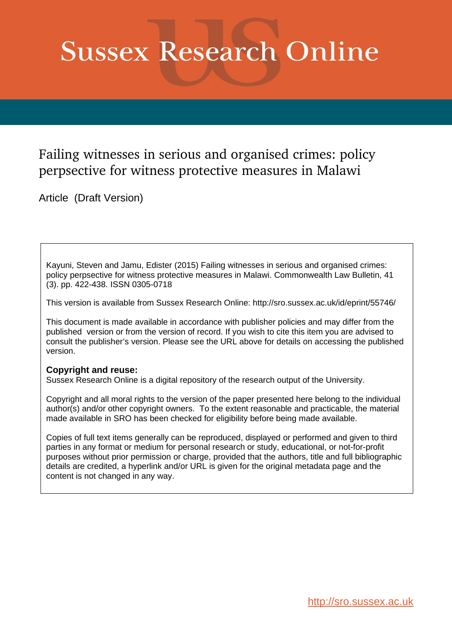# **Sussex Research Online**

## Failing witnesses in serious and organised crimes: policy perpsective for witness protective measures in Malawi

Article (Draft Version)

Kayuni, Steven and Jamu, Edister (2015) Failing witnesses in serious and organised crimes: policy perpsective for witness protective measures in Malawi. Commonwealth Law Bulletin, 41 (3). pp. 422-438. ISSN 0305-0718

This version is available from Sussex Research Online: http://sro.sussex.ac.uk/id/eprint/55746/

This document is made available in accordance with publisher policies and may differ from the published version or from the version of record. If you wish to cite this item you are advised to consult the publisher's version. Please see the URL above for details on accessing the published version.

#### **Copyright and reuse:**

Sussex Research Online is a digital repository of the research output of the University.

Copyright and all moral rights to the version of the paper presented here belong to the individual author(s) and/or other copyright owners. To the extent reasonable and practicable, the material made available in SRO has been checked for eligibility before being made available.

Copies of full text items generally can be reproduced, displayed or performed and given to third parties in any format or medium for personal research or study, educational, or not-for-profit purposes without prior permission or charge, provided that the authors, title and full bibliographic details are credited, a hyperlink and/or URL is given for the original metadata page and the content is not changed in any way.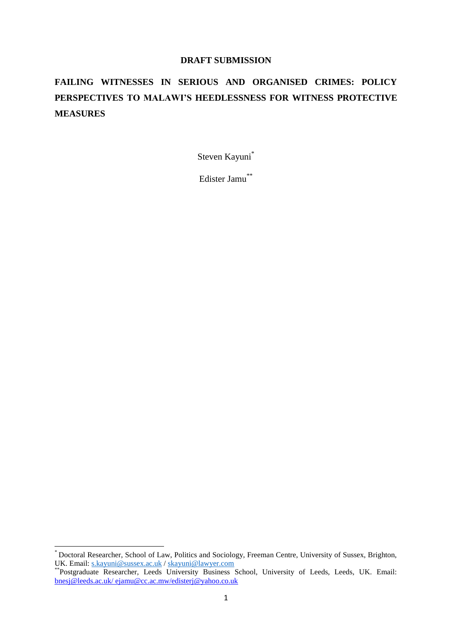#### **DRAFT SUBMISSION**

### **FAILING WITNESSES IN SERIOUS AND ORGANISED CRIMES: POLICY PERSPECTIVES TO MALAWI'S HEEDLESSNESS FOR WITNESS PROTECTIVE MEASURES**

Steven Kayuni\*

Edister Jamu\*\*

<sup>\*</sup> Doctoral Researcher, School of Law, Politics and Sociology, Freeman Centre, University of Sussex, Brighton, UK. Email: [s.kayuni@sussex.ac.uk](mailto:s.kayuni@sussex.ac.uk) / [skayuni@lawyer.com](mailto:skayuni@lawyer.com)

<sup>\*\*</sup>Postgraduate Researcher, Leeds University Business School, University of Leeds, Leeds, UK. Email: [bnesj@leeds.ac.uk/](mailto:bnesj@leeds.ac.uk) ejamu@cc.ac.mw/edisterj@yahoo.co.uk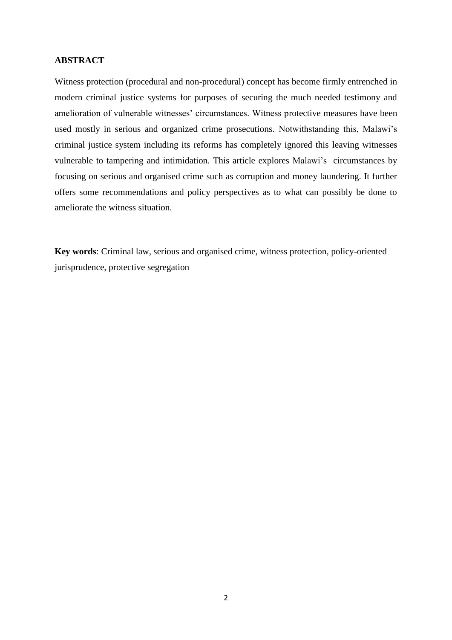#### **ABSTRACT**

Witness protection (procedural and non-procedural) concept has become firmly entrenched in modern criminal justice systems for purposes of securing the much needed testimony and amelioration of vulnerable witnesses' circumstances. Witness protective measures have been used mostly in serious and organized crime prosecutions. Notwithstanding this, Malawi's criminal justice system including its reforms has completely ignored this leaving witnesses vulnerable to tampering and intimidation. This article explores Malawi"s circumstances by focusing on serious and organised crime such as corruption and money laundering. It further offers some recommendations and policy perspectives as to what can possibly be done to ameliorate the witness situation.

**Key words**: Criminal law, serious and organised crime, witness protection, policy-oriented jurisprudence, protective segregation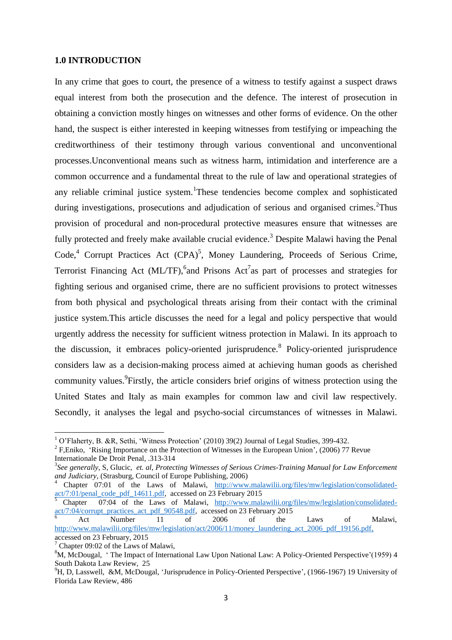#### **1.0 INTRODUCTION**

In any crime that goes to court, the presence of a witness to testify against a suspect draws equal interest from both the prosecution and the defence. The interest of prosecution in obtaining a conviction mostly hinges on witnesses and other forms of evidence. On the other hand, the suspect is either interested in keeping witnesses from testifying or impeaching the creditworthiness of their testimony through various conventional and unconventional processes.Unconventional means such as witness harm, intimidation and interference are a common occurrence and a fundamental threat to the rule of law and operational strategies of any reliable criminal justice system. These tendencies become complex and sophisticated during investigations, prosecutions and adjudication of serious and organised crimes.<sup>2</sup>Thus provision of procedural and non-procedural protective measures ensure that witnesses are fully protected and freely make available crucial evidence.<sup>3</sup> Despite Malawi having the Penal Code,<sup>4</sup> Corrupt Practices Act  $(CPA)^5$ , Money Laundering, Proceeds of Serious Crime, Terrorist Financing Act (ML/TF), and Prisons Act<sup>7</sup>as part of processes and strategies for fighting serious and organised crime, there are no sufficient provisions to protect witnesses from both physical and psychological threats arising from their contact with the criminal justice system.This article discusses the need for a legal and policy perspective that would urgently address the necessity for sufficient witness protection in Malawi. In its approach to the discussion, it embraces policy-oriented jurisprudence.<sup>8</sup> Policy-oriented jurisprudence considers law as a decision-making process aimed at achieving human goods as cherished community values. <sup>9</sup>Firstly, the article considers brief origins of witness protection using the United States and Italy as main examples for common law and civil law respectively. Secondly, it analyses the legal and psycho-social circumstances of witnesses in Malawi.

 $1$  O'Flaherty, B. &R, Sethi, 'Witness Protection' (2010) 39(2) Journal of Legal Studies, 399-432.

 $2$  F,Eniko, 'Rising Importance on the Protection of Witnesses in the European Union', (2006) 77 Revue Internationale De Droit Penal, .313-314

<sup>3</sup> *See generally*, S, Glucic, *et. al*, *Protecting Witnesses of Serious Crimes-Training Manual for Law Enforcement and Judiciary*, (Strasburg, Council of Europe Publishing, 2006)

<sup>4</sup> Chapter 07:01 of the Laws of Malawi, [http://www.malawilii.org/files/mw/legislation/consolidated](http://www.malawilii.org/files/mw/legislation/consolidated-act/7:01/penal_code_pdf_14611.pdf)[act/7:01/penal\\_code\\_pdf\\_14611.pdf,](http://www.malawilii.org/files/mw/legislation/consolidated-act/7:01/penal_code_pdf_14611.pdf) accessed on 23 February 2015

<sup>5</sup> Chapter 07:04 of the Laws of Malawi, [http://www.malawilii.org/files/mw/legislation/consolidated-](http://www.malawilii.org/files/mw/legislation/consolidated-act/7:04/corrupt_practices_act_pdf_90548.pdf) $\frac{\text{act/7:04/corrupt\ practices\ act\ pdf\ 90548.pdf}}{\text{Act}}$ , accessed on 23 February 2015<br>  $\frac{6}{6}$  Act Number 11 of 2006 of the

<sup>&</sup>lt;sup>6</sup> Act Number 11 of 2006 of the Laws of Malawi, [http://www.malawilii.org/files/mw/legislation/act/2006/11/money\\_laundering\\_act\\_2006\\_pdf\\_19156.pdf,](http://www.malawilii.org/files/mw/legislation/act/2006/11/money_laundering_act_2006_pdf_19156.pdf) accessed on 23 February, 2015

 $7$  Chapter 09:02 of the Laws of Malawi,

<sup>&</sup>lt;sup>8</sup>M, McDougal, 'The Impact of International Law Upon National Law: A Policy-Oriented Perspective'(1959) 4 South Dakota Law Review, 25

<sup>9</sup>H, D, Lasswell, &M, McDougal, "Jurisprudence in Policy-Oriented Perspective", (1966-1967) 19 University of Florida Law Review, 486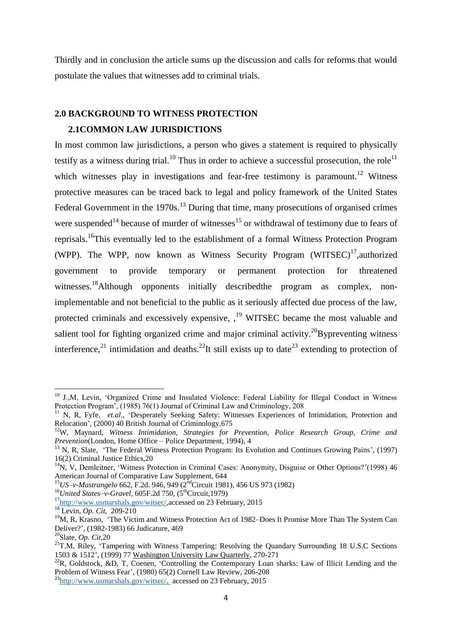Thirdly and in conclusion the article sums up the discussion and calls for reforms that would postulate the values that witnesses add to criminal trials.

## **2.0 BACKGROUND TO WITNESS PROTECTION**

#### **2.1COMMON LAW JURISDICTIONS**

In most common law jurisdictions, a person who gives a statement is required to physically testify as a witness during trial.<sup>10</sup> Thus in order to achieve a successful prosecution, the role<sup>11</sup> which witnesses play in investigations and fear-free testimony is paramount.<sup>12</sup> Witness protective measures can be traced back to legal and policy framework of the United States Federal Government in the 1970s.<sup>13</sup> During that time, many prosecutions of organised crimes were suspended<sup>14</sup> because of murder of witnesses<sup>15</sup> or withdrawal of testimony due to fears of reprisals.<sup>16</sup>This eventually led to the establishment of a formal Witness Protection Program (WPP). The WPP, now known as Witness Security Program (WITSEC) $<sup>17</sup>$ , authorized</sup> government to provide temporary or permanent protection for threatened witnesses.<sup>18</sup>Although opponents initially describedthe program as complex, nonimplementable and not beneficial to the public as it seriously affected due process of the law, protected criminals and excessively expensive,  $,$ <sup>19</sup> WITSEC became the most valuable and salient tool for fighting organized crime and major criminal activity.<sup>20</sup>Bypreventing witness interference,<sup>21</sup> intimidation and deaths.<sup>22</sup>It still exists up to date<sup>23</sup> extending to protection of

<sup>16</sup>*United States–v-Gravel, 605F.2d 750, (5<sup>th</sup>Circuit, 1979)* 

<sup>18</sup> Levin, *Op. Cit*, 209-210

 $\overline{a}$ 

<sup>&</sup>lt;sup>10</sup> J.,M, Levin, 'Organized Crime and Insulated Violence: Federal Liability for Illegal Conduct in Witness Protection Program', (1985) 76(1) Journal of Criminal Law and Criminology, 208

<sup>&</sup>lt;sup>11</sup> N, R, Fyfe, *et.al.*, 'Desperately Seeking Safety: Witnesses Experiences of Intimidation, Protection and Relocation", (2000) 40 British Journal of Criminology,675

<sup>12</sup>W, Maynard, *Witness Intimidation, Strategies for Prevention, Police Research Group, Crime and Prevention*(London, Home Office – Police Department, 1994), 4

 $13$  N, R, Slate, 'The Federal Witness Protection Program: Its Evolution and Continues Growing Pains', (1997) 16(2) Criminal Justice Ethics,20

<sup>&</sup>lt;sup>14</sup>N, V, Demleitner, 'Witness Protection in Criminal Cases: Anonymity, Disguise or Other Options?'(1998) 46 American Journal of Comparative Law Supplement, 644

<sup>15</sup>*US–v-Mastrangelo* 662, F.2d. 946, 949 (2ndCircuit 1981), 456 US 973 (1982)

<sup>&</sup>lt;sup>17</sup>[http://www.usmarshals.gov/witsec/,](http://www.usmarshals.gov/witsec/)accessed on 23 February, 2015

<sup>&</sup>lt;sup>19</sup>M, R, Krasno, 'The Victim and Witness Protection Act of 1982–Does It Promise More Than The System Can Deliver?", (1982-1983) 66 Judicature, 469

<sup>20</sup>Slate, *Op. Cit*,20

 $^{21}$ T.M, Riley, 'Tampering with Witness Tampering: Resolving the Quandary Surrounding 18 U.S.C Sections 1503 & 1512", (1999) 77 Washington University Law Quarterly, 270-271

<sup>&</sup>lt;sup>22</sup>R, Goldstock, &D, T, Coenen, "Controlling the Contemporary Loan sharks: Law of Illicit Lending and the Problem of Witness Fear', (1980) 65(2) Cornell Law Review, 206-208

 $^{23}$ [http://www.usmarshals.gov/witsec/,](http://www.usmarshals.gov/witsec/) accessed on 23 February, 2015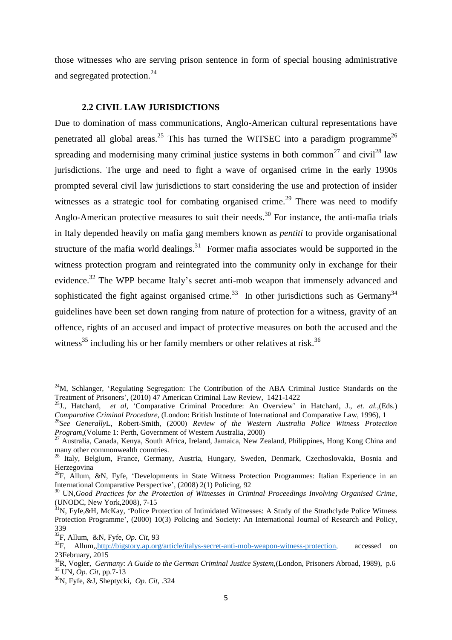those witnesses who are serving prison sentence in form of special housing administrative and segregated protection.<sup>24</sup>

#### **2.2 CIVIL LAW JURISDICTIONS**

Due to domination of mass communications, Anglo-American cultural representations have penetrated all global areas.<sup>25</sup> This has turned the WITSEC into a paradigm programme<sup>26</sup> spreading and modernising many criminal justice systems in both common<sup>27</sup> and civil<sup>28</sup> law jurisdictions. The urge and need to fight a wave of organised crime in the early 1990s prompted several civil law jurisdictions to start considering the use and protection of insider witnesses as a strategic tool for combating organised crime.<sup>29</sup> There was need to modify Anglo-American protective measures to suit their needs.<sup>30</sup> For instance, the anti-mafia trials in Italy depended heavily on mafia gang members known as *pentiti* to provide organisational structure of the mafia world dealings.<sup>31</sup> Former mafia associates would be supported in the witness protection program and reintegrated into the community only in exchange for their evidence.<sup>32</sup> The WPP became Italy"s secret anti-mob weapon that immensely advanced and sophisticated the fight against organised crime.<sup>33</sup> In other jurisdictions such as Germany<sup>34</sup> guidelines have been set down ranging from nature of protection for a witness, gravity of an offence, rights of an accused and impact of protective measures on both the accused and the witness<sup>35</sup> including his or her family members or other relatives at risk.<sup>36</sup>

 $24$ M, Schlanger, 'Regulating Segregation: The Contribution of the ABA Criminal Justice Standards on the Treatment of Prisoners', (2010) 47 American Criminal Law Review, 1421-1422

<sup>25</sup>J., Hatchard, *et al*, "Comparative Criminal Procedure: An Overview" in Hatchard, J., *et. al.*,(Eds.) *Comparative Criminal Procedure*, (London: British Institute of International and Comparative Law, 1996), 1

<sup>26</sup>*See Generally*L, Robert-Smith, (2000) *Review of the Western Australia Police Witness Protection Program*,(Volume 1: Perth, Government of Western Australia, 2000)

<sup>&</sup>lt;sup>27</sup> Australia, Canada, Kenya, South Africa, Ireland, Jamaica, New Zealand, Philippines, Hong Kong China and many other commonwealth countries.

<sup>&</sup>lt;sup>28</sup> Italy, Belgium, France, Germany, Austria, Hungary, Sweden, Denmark, Czechoslovakia, Bosnia and Herzegovina

 $^{29}$ F, Allum, &N, Fyfe, 'Developments in State Witness Protection Programmes: Italian Experience in an International Comparative Perspective", (2008) 2(1) Policing, 92

<sup>30</sup> UN,*Good Practices for the Protection of Witnesses in Criminal Proceedings Involving Organised Crime*, (UNODC, New York,2008), 7-15

 $31N$ , Fyfe, & H, McKay, 'Police Protection of Intimidated Witnesses: A Study of the Strathclyde Police Witness Protection Programme', (2000) 10(3) Policing and Society: An International Journal of Research and Policy, 339

<sup>32</sup>F, Allum, &N, Fyfe, *Op. Cit*, 93

<sup>&</sup>lt;sup>33</sup>F, Allum,[,http://bigstory.ap.org/article/italys-secret-anti-mob-weapon-witness-protection,](http://bigstory.ap.org/article/italys-secret-anti-mob-weapon-witness-protection) accessed on 23February, 2015

<sup>&</sup>lt;sup>34</sup>R. Vogler, *Germany: A Guide to the German Criminal Justice System*, (London, Prisoners Abroad, 1989), p.6 <sup>35</sup> UN, *Op. Cit*, pp.7-13

<sup>36</sup>N, Fyfe, &J, Sheptycki, *Op. Cit*, .324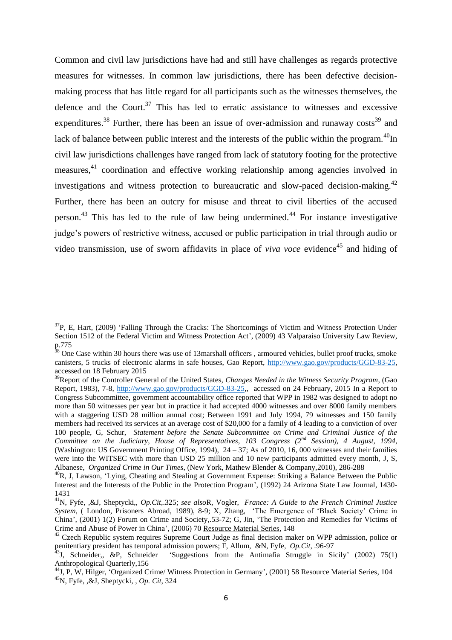Common and civil law jurisdictions have had and still have challenges as regards protective measures for witnesses. In common law jurisdictions, there has been defective decisionmaking process that has little regard for all participants such as the witnesses themselves, the defence and the Court.<sup>37</sup> This has led to erratic assistance to witnesses and excessive expenditures.<sup>38</sup> Further, there has been an issue of over-admission and runaway costs<sup>39</sup> and lack of balance between public interest and the interests of the public within the program.  $^{40}$ In civil law jurisdictions challenges have ranged from lack of statutory footing for the protective measures,<sup>41</sup> coordination and effective working relationship among agencies involved in investigations and witness protection to bureaucratic and slow-paced decision-making.<sup>42</sup> Further, there has been an outcry for misuse and threat to civil liberties of the accused person.<sup>43</sup> This has led to the rule of law being undermined.<sup>44</sup> For instance investigative judge"s powers of restrictive witness, accused or public participation in trial through audio or video transmission, use of sworn affidavits in place of *viva voce* evidence<sup>45</sup> and hiding of

 $37P$ , E, Hart, (2009) 'Falling Through the Cracks: The Shortcomings of Victim and Witness Protection Under Section 1512 of the Federal Victim and Witness Protection Act', (2009) 43 Valparaiso University Law Review, p.775

 $38$  One Case within 30 hours there was use of 13marshall officers, armoured vehicles, bullet proof trucks, smoke canisters, 5 trucks of electronic alarms in safe houses, Gao Report, [http://www.gao.gov/products/GGD-83-25,](http://www.gao.gov/products/GGD-83-25) accessed on 18 February 2015

<sup>39</sup>Report of the Controller General of the United States, *Changes Needed in the Witness Security Program*, (Gao Report, 1983), 7-8, [http://www.gao.gov/products/GGD-83-25,](http://www.gao.gov/products/GGD-83-25), accessed on 24 February, 2015 In a Report to Congress Subcommittee, government accountability office reported that WPP in 1982 was designed to adopt no more than 50 witnesses per year but in practice it had accepted 4000 witnesses and over 8000 family members with a staggering USD 28 million annual cost; Between 1991 and July 1994, 79 witnesses and 150 family members had received its services at an average cost of \$20,000 for a family of 4 leading to a conviction of over 100 people, G, Schur, *Statement before the Senate Subcommittee on Crime and Criminal Justice of the Committee on the Judiciary, House of Representatives, 103 Congress (2nd Session), 4 August, 1994*, (Washington: US Government Printing Office, 1994), 24 – 37; As of 2010, 16, 000 witnesses and their families were into the WITSEC with more than USD 25 million and 10 new participants admitted every month, J, S, Albanese, *Organized Crime in Our Times*, (New York, Mathew Blender & Company,2010), 286-288

<sup>&</sup>lt;sup>40</sup>R, J, Lawson, 'Lying, Cheating and Stealing at Government Expense: Striking a Balance Between the Public Interest and the Interests of the Public in the Protection Program", (1992) 24 Arizona State Law Journal, 1430- 1431

<sup>41</sup>N, Fyfe, ,&J, Sheptycki,, *Op.Cit*,.325; *see also*R, Vogler, *France: A Guide to the French Criminal Justice System*, ( London, Prisoners Abroad, 1989), 8-9; X, Zhang, "The Emergence of "Black Society" Crime in China", (2001) 1(2) Forum on Crime and Society,.53-72; G, Jin, "The Protection and Remedies for Victims of Crime and Abuse of Power in China", (2006) 70 Resource Material Series, 148

<sup>&</sup>lt;sup>42</sup> Czech Republic system requires Supreme Court Judge as final decision maker on WPP admission, police or penitentiary president has temporal admission powers; F, Allum, &N, Fyfe, *Op.Cit*, .96-97

 $^{43}$ J. Schneider,, &P, Schneider 'Suggestions from the Antimafia Struggle in Sicily' (2002) 75(1) Anthropological Quarterly,156

<sup>44</sup>J, P, W, Hilger, "Organized Crime/ Witness Protection in Germany", (2001) 58 Resource Material Series, 104 <sup>45</sup>N, Fyfe, ,&J, Sheptycki, , *Op. Cit*, 324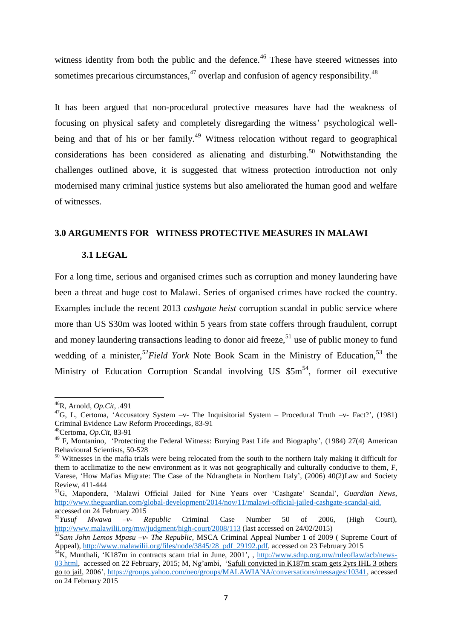witness identity from both the public and the defence.<sup>46</sup> These have steered witnesses into sometimes precarious circumstances, $47$  overlap and confusion of agency responsibility. $48$ 

It has been argued that non-procedural protective measures have had the weakness of focusing on physical safety and completely disregarding the witness" psychological wellbeing and that of his or her family.<sup>49</sup> Witness relocation without regard to geographical considerations has been considered as alienating and disturbing.<sup>50</sup> Notwithstanding the challenges outlined above, it is suggested that witness protection introduction not only modernised many criminal justice systems but also ameliorated the human good and welfare of witnesses.

#### **3.0 ARGUMENTS FOR WITNESS PROTECTIVE MEASURES IN MALAWI**

#### **3.1 LEGAL**

For a long time, serious and organised crimes such as corruption and money laundering have been a threat and huge cost to Malawi. Series of organised crimes have rocked the country. Examples include the recent 2013 *cashgate heist* corruption scandal in public service where more than US \$30m was looted within 5 years from state coffers through fraudulent, corrupt and money laundering transactions leading to donor aid freeze.<sup>51</sup> use of public money to fund wedding of a minister,<sup>52</sup>*Field York* Note Book Scam in the Ministry of Education,<sup>53</sup> the Ministry of Education Corruption Scandal involving US  $$5m<sup>54</sup>$ , former oil executive

<sup>46</sup>R, Arnold, *Op.Cit*, .491

 ${}^{47}G$ , L, Certoma, 'Accusatory System –v- The Inquisitorial System – Procedural Truth –v- Fact?', (1981) Criminal Evidence Law Reform Proceedings, 83-91

<sup>48</sup>Certoma, *Op.Cit*, 83-91

<sup>&</sup>lt;sup>49</sup> F, Montanino, 'Protecting the Federal Witness: Burying Past Life and Biography', (1984) 27(4) American Behavioural Scientists, 50-528

<sup>&</sup>lt;sup>50</sup> Witnesses in the mafia trials were being relocated from the south to the northern Italy making it difficult for them to acclimatize to the new environment as it was not geographically and culturally conducive to them, F, Varese, "How Mafias Migrate: The Case of the Ndrangheta in Northern Italy", (2006) 40(2)Law and Society Review, 411-444

<sup>51</sup>G, Mapondera, "Malawi Official Jailed for Nine Years over "Cashgate" Scandal", *Guardian News*, [http://www.theguardian.com/global-development/2014/nov/11/malawi-official-jailed-cashgate-scandal-aid,](http://www.theguardian.com/global-development/2014/nov/11/malawi-official-jailed-cashgate-scandal-aid) accessed on 24 February 2015

<sup>52</sup>*Yusuf Mwawa –v- Republic* Criminal Case Number 50 of 2006, (High Court), <http://www.malawilii.org/mw/judgment/high-court/2008/113> (last accessed on 24/02/2015)

<sup>53</sup>*Sam John Lemos Mpasu –v- The Republic,* MSCA Criminal Appeal Number 1 of 2009 ( Supreme Court of Appeal), [http://www.malawilii.org/files/node/3845/28\\_pdf\\_29192.pdf,](http://www.malawilii.org/files/node/3845/28_pdf_29192.pdf) accessed on 23 February 2015

 $^{54}$ K, Munthali, 'K187m in contracts scam trial in June, 2001', , [http://www.sdnp.org.mw/ruleoflaw/acb/news-](http://www.sdnp.org.mw/ruleoflaw/acb/news-03.html)[03.html,](http://www.sdnp.org.mw/ruleoflaw/acb/news-03.html) accessed on 22 February, 2015; M, Ng'ambi, 'Safuli convicted in K187m scam gets 2yrs IHL 3 others go to jail, 2006", [https://groups.yahoo.com/neo/groups/MALAWIANA/conversations/messages/10341,](https://groups.yahoo.com/neo/groups/MALAWIANA/conversations/messages/10341) accessed on 24 February 2015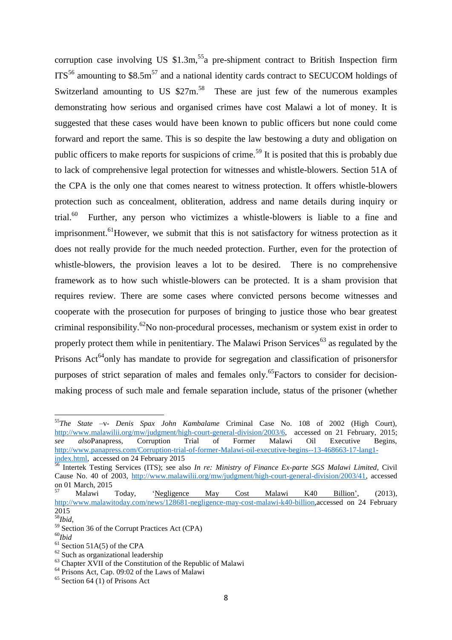corruption case involving US  $$1.3m, <sup>55</sup>$ a pre-shipment contract to British Inspection firm  $ITS^{56}$  amounting to  $$8.5m^{57}$  and a national identity cards contract to SECUCOM holdings of Switzerland amounting to US  $$27m.<sup>58</sup>$  These are just few of the numerous examples demonstrating how serious and organised crimes have cost Malawi a lot of money. It is suggested that these cases would have been known to public officers but none could come forward and report the same. This is so despite the law bestowing a duty and obligation on public officers to make reports for suspicions of crime.<sup>59</sup> It is posited that this is probably due to lack of comprehensive legal protection for witnesses and whistle-blowers. Section 51A of the CPA is the only one that comes nearest to witness protection. It offers whistle-blowers protection such as concealment, obliteration, address and name details during inquiry or trial. $60$  Further, any person who victimizes a whistle-blowers is liable to a fine and imprisonment.<sup>61</sup>However, we submit that this is not satisfactory for witness protection as it does not really provide for the much needed protection. Further, even for the protection of whistle-blowers, the provision leaves a lot to be desired. There is no comprehensive framework as to how such whistle-blowers can be protected. It is a sham provision that requires review. There are some cases where convicted persons become witnesses and cooperate with the prosecution for purposes of bringing to justice those who bear greatest criminal responsibility.<sup>62</sup>No non-procedural processes, mechanism or system exist in order to properly protect them while in penitentiary. The Malawi Prison Services<sup>63</sup> as regulated by the Prisons  $Act<sup>64</sup> only has mandate to provide for segregation and classification of prisoner's$ purposes of strict separation of males and females only.<sup>65</sup>Factors to consider for decisionmaking process of such male and female separation include, status of the prisoner (whether

<sup>55</sup>*The State* –v- *Denis Spax John Kambalame* Criminal Case No. 108 of 2002 (High Court), [http://www.malawilii.org/mw/judgment/high-court-general-division/2003/6,](http://www.malawilii.org/mw/judgment/high-court-general-division/2003/6) accessed on 21 February, 2015; *see also*Panapress, Corruption Trial of Former Malawi Oil Executive Begins, [http://www.panapress.com/Corruption-trial-of-former-Malawi-oil-executive-begins--13-468663-17-lang1](http://www.panapress.com/Corruption-trial-of-former-Malawi-oil-executive-begins--13-468663-17-lang1-index.html) [index.html,](http://www.panapress.com/Corruption-trial-of-former-Malawi-oil-executive-begins--13-468663-17-lang1-index.html) accessed on 24 February 2015

<sup>56</sup> Intertek Testing Services (ITS); see also *In re: Ministry of Finance Ex-parte SGS Malawi Limited*, Civil Cause No. 40 of 2003, [http://www.malawilii.org/mw/judgment/high-court-general-division/2003/41,](http://www.malawilii.org/mw/judgment/high-court-general-division/2003/41) accessed on 01 March, 2015

<sup>&</sup>lt;sup>57</sup> Malawi Today, '<u>Negligence May Cost Malawi K40 Billion'</u>, (2013), [http://www.malawitoday.com/news/128681-negligence-may-cost-malawi-k40-billion,](http://www.malawitoday.com/news/128681-negligence-may-cost-malawi-k40-billion)accessed on 24 February 2015

<sup>58</sup>*Ibid*,

 $59$  Section 36 of the Corrupt Practices Act (CPA)

<sup>60</sup>*Ibid*

 $61$  Section 51A(5) of the CPA

<sup>62</sup> Such as organizational leadership

 $^{63}$  Chapter XVII of the Constitution of the Republic of Malawi

<sup>64</sup> Prisons Act, Cap. 09:02 of the Laws of Malawi

 $65$  Section 64 (1) of Prisons Act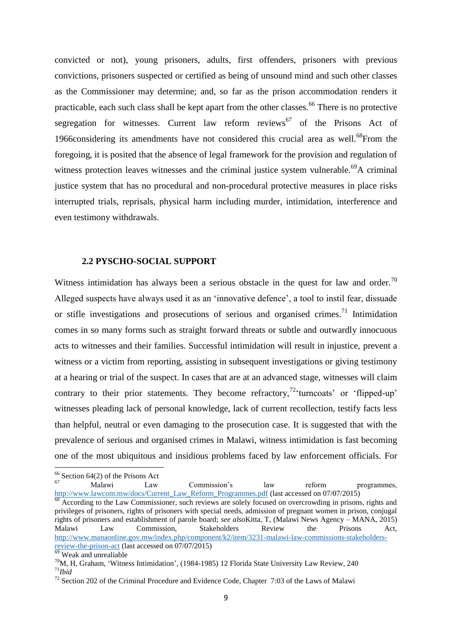convicted or not), young prisoners, adults, first offenders, prisoners with previous convictions, prisoners suspected or certified as being of unsound mind and such other classes as the Commissioner may determine; and, so far as the prison accommodation renders it practicable, each such class shall be kept apart from the other classes.<sup>66</sup> There is no protective segregation for witnesses. Current law reform  $reviews^{67}$  of the Prisons Act of 1966considering its amendments have not considered this crucial area as well.<sup>68</sup>From the foregoing, it is posited that the absence of legal framework for the provision and regulation of witness protection leaves witnesses and the criminal justice system vulnerable.<sup>69</sup>A criminal justice system that has no procedural and non-procedural protective measures in place risks interrupted trials, reprisals, physical harm including murder, intimidation, interference and even testimony withdrawals.

#### **2.2 PYSCHO-SOCIAL SUPPORT**

Witness intimidation has always been a serious obstacle in the quest for law and order.<sup>70</sup> Alleged suspects have always used it as an "innovative defence", a tool to instil fear, dissuade or stifle investigations and prosecutions of serious and organised crimes.<sup>71</sup> Intimidation comes in so many forms such as straight forward threats or subtle and outwardly innocuous acts to witnesses and their families. Successful intimidation will result in injustice, prevent a witness or a victim from reporting, assisting in subsequent investigations or giving testimony at a hearing or trial of the suspect. In cases that are at an advanced stage, witnesses will claim contrary to their prior statements. They become refractory,<sup>72</sup> turncoats' or 'flipped-up' witnesses pleading lack of personal knowledge, lack of current recollection, testify facts less than helpful, neutral or even damaging to the prosecution case. It is suggested that with the prevalence of serious and organised crimes in Malawi, witness intimidation is fast becoming one of the most ubiquitous and insidious problems faced by law enforcement officials. For

 $\overline{a}$ 

 $^{66}_{67}$  Section 64(2) of the Prisons Act

Malawi Law Commission's law reform programmes, [http://www.lawcom.mw/docs/Current\\_Law\\_Reform\\_Programmes.pdf](http://www.lawcom.mw/docs/Current_Law_Reform_Programmes.pdf) (last accessed on 07/07/2015)

<sup>&</sup>lt;sup>68</sup> According to the Law Commissioner, such reviews are solely focused on overcrowding in prisons, rights and privileges of prisoners, rights of prisoners with special needs, admission of pregnant women in prison, conjugal rights of prisoners and establishment of parole board; *see also*Kitta, T, (Malawi News Agency – MANA, 2015) Malawi Law Commission, Stakeholders Review the Prisons Act, [http://www.manaonline.gov.mw/index.php/component/k2/item/3231-malawi-law-commissions-stakeholders](http://www.manaonline.gov.mw/index.php/component/k2/item/3231-malawi-law-commissions-stakeholders-review-the-prison-act)[review-the-prison-act](http://www.manaonline.gov.mw/index.php/component/k2/item/3231-malawi-law-commissions-stakeholders-review-the-prison-act) (last accessed on 07/07/2015)

 $69$  Weak and unrealiable

<sup>70</sup>M, H, Graham, "Witness Intimidation", (1984-1985) 12 Florida State University Law Review, 240  $71$ *Ibid* 

 $72$  Section 202 of the Criminal Procedure and Evidence Code, Chapter 7:03 of the Laws of Malawi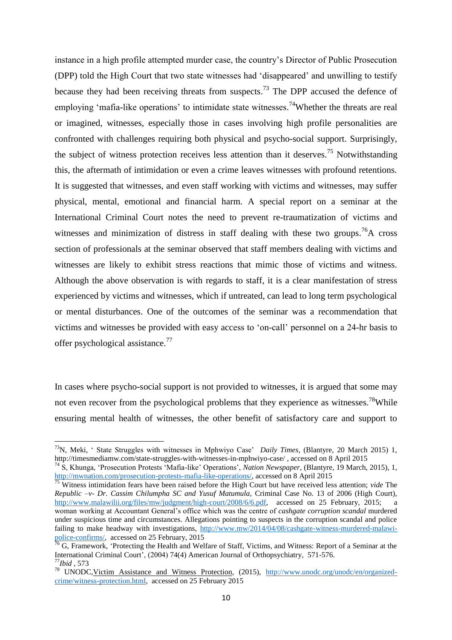instance in a high profile attempted murder case, the country"s Director of Public Prosecution (DPP) told the High Court that two state witnesses had "disappeared" and unwilling to testify because they had been receiving threats from suspects.<sup>73</sup> The DPP accused the defence of employing 'mafia-like operations' to intimidate state witnesses.<sup>74</sup>Whether the threats are real or imagined, witnesses, especially those in cases involving high profile personalities are confronted with challenges requiring both physical and psycho-social support. Surprisingly, the subject of witness protection receives less attention than it deserves.<sup>75</sup> Notwithstanding this, the aftermath of intimidation or even a crime leaves witnesses with profound retentions. It is suggested that witnesses, and even staff working with victims and witnesses, may suffer physical, mental, emotional and financial harm. A special report on a seminar at the International Criminal Court notes the need to prevent re-traumatization of victims and witnesses and minimization of distress in staff dealing with these two groups.<sup>76</sup>A cross section of professionals at the seminar observed that staff members dealing with victims and witnesses are likely to exhibit stress reactions that mimic those of victims and witness. Although the above observation is with regards to staff, it is a clear manifestation of stress experienced by victims and witnesses, which if untreated, can lead to long term psychological or mental disturbances. One of the outcomes of the seminar was a recommendation that victims and witnesses be provided with easy access to "on-call" personnel on a 24-hr basis to offer psychological assistance.<sup>77</sup>

In cases where psycho-social support is not provided to witnesses, it is argued that some may not even recover from the psychological problems that they experience as witnesses.<sup>78</sup>While ensuring mental health of witnesses, the other benefit of satisfactory care and support to

<sup>73</sup>N, Meki, " State Struggles with witnesses in Mphwiyo Case" *Daily Times*, (Blantyre, 20 March 2015) 1, http://timesmediamw.com/state-struggles-with-witnesses-in-mphwiyo-case/ , accessed on 8 April 2015

<sup>74</sup> S, Khunga, "Prosecution Protests "Mafia-like" Operations", *Nation Newspaper*, (Blantyre, 19 March, 2015), 1, [http://mwnation.com/prosecution-protests-mafia-like-operations/,](http://mwnation.com/prosecution-protests-mafia-like-operations/) accessed on 8 April 2015

<sup>75</sup> Witness intimidation fears have been raised before the High Court but have received less attention; *vide* The *Republic –v- Dr. Cassim Chilumpha SC and Yusuf Matumula*, Criminal Case No. 13 of 2006 (High Court), [http://www.malawilii.org/files/mw/judgment/high-court/2008/6/6.pdf,](http://www.malawilii.org/files/mw/judgment/high-court/2008/6/6.pdf) accessed on 25 February, 2015; a woman working at Accountant General"s office which was the centre of *cashgate corruption scandal* murdered under suspicious time and circumstances. Allegations pointing to suspects in the corruption scandal and police failing to make headway with investigations, [http://www.mw/2014/04/08/cashgate-witness-murdered-malawi](http://www.mw/2014/04/08/cashgate-witness-murdered-malawi-police-confirms/)[police-confirms/,](http://www.mw/2014/04/08/cashgate-witness-murdered-malawi-police-confirms/) accessed on 25 February, 2015

 $\frac{76}{76}$  G, Framework, 'Protecting the Health and Welfare of Staff, Victims, and Witness: Report of a Seminar at the International Criminal Court", (2004) 74(4) American Journal of Orthopsychiatry, 571-576. <sup>77</sup>*Ibid* , 573

<sup>&</sup>lt;sup>78</sup> UNODC, Victim Assistance and Witness Protection, (2015), [http://www.unodc.org/unodc/en/organized](http://www.unodc.org/unodc/en/organized-crime/witness-protection.html)[crime/witness-protection.html,](http://www.unodc.org/unodc/en/organized-crime/witness-protection.html) accessed on 25 February 2015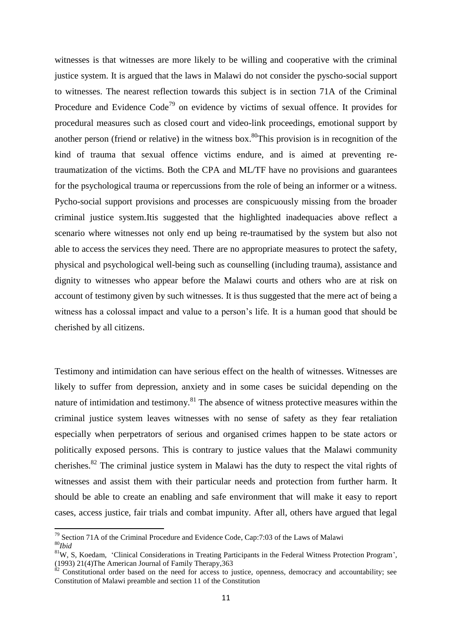witnesses is that witnesses are more likely to be willing and cooperative with the criminal justice system. It is argued that the laws in Malawi do not consider the pyscho-social support to witnesses. The nearest reflection towards this subject is in section 71A of the Criminal Procedure and Evidence  $Code^{79}$  on evidence by victims of sexual offence. It provides for procedural measures such as closed court and video-link proceedings, emotional support by another person (friend or relative) in the witness box.<sup>80</sup>This provision is in recognition of the kind of trauma that sexual offence victims endure, and is aimed at preventing retraumatization of the victims. Both the CPA and ML/TF have no provisions and guarantees for the psychological trauma or repercussions from the role of being an informer or a witness. Pycho-social support provisions and processes are conspicuously missing from the broader criminal justice system.Itis suggested that the highlighted inadequacies above reflect a scenario where witnesses not only end up being re-traumatised by the system but also not able to access the services they need. There are no appropriate measures to protect the safety, physical and psychological well-being such as counselling (including trauma), assistance and dignity to witnesses who appear before the Malawi courts and others who are at risk on account of testimony given by such witnesses. It is thus suggested that the mere act of being a witness has a colossal impact and value to a person's life. It is a human good that should be cherished by all citizens.

Testimony and intimidation can have serious effect on the health of witnesses. Witnesses are likely to suffer from depression, anxiety and in some cases be suicidal depending on the nature of intimidation and testimony.<sup>81</sup> The absence of witness protective measures within the criminal justice system leaves witnesses with no sense of safety as they fear retaliation especially when perpetrators of serious and organised crimes happen to be state actors or politically exposed persons. This is contrary to justice values that the Malawi community cherishes.<sup>82</sup> The criminal justice system in Malawi has the duty to respect the vital rights of witnesses and assist them with their particular needs and protection from further harm. It should be able to create an enabling and safe environment that will make it easy to report cases, access justice, fair trials and combat impunity. After all, others have argued that legal

 $79$  Section 71A of the Criminal Procedure and Evidence Code, Cap: 7:03 of the Laws of Malawi <sup>80</sup>*Ibid*

<sup>&</sup>lt;sup>81</sup>W. S. Koedam, 'Clinical Considerations in Treating Participants in the Federal Witness Protection Program', (1993) 21(4)The American Journal of Family Therapy,363

 $82$  Constitutional order based on the need for access to justice, openness, democracy and accountability; see Constitution of Malawi preamble and section 11 of the Constitution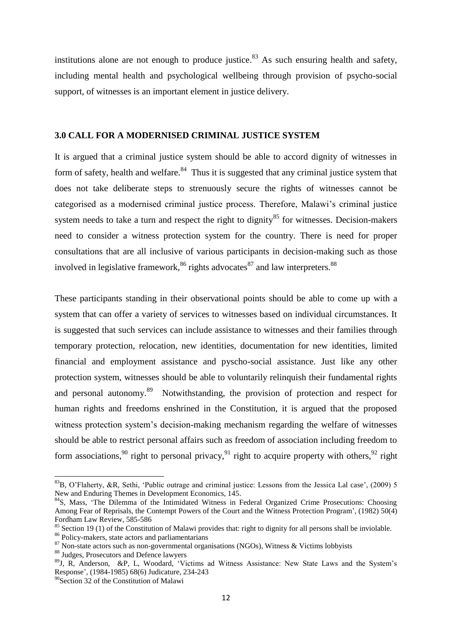institutions alone are not enough to produce justice. $83$  As such ensuring health and safety, including mental health and psychological wellbeing through provision of psycho-social support, of witnesses is an important element in justice delivery.

#### **3.0 CALL FOR A MODERNISED CRIMINAL JUSTICE SYSTEM**

It is argued that a criminal justice system should be able to accord dignity of witnesses in form of safety, health and welfare.<sup>84</sup> Thus it is suggested that any criminal justice system that does not take deliberate steps to strenuously secure the rights of witnesses cannot be categorised as a modernised criminal justice process. Therefore, Malawi"s criminal justice system needs to take a turn and respect the right to dignity<sup>85</sup> for witnesses. Decision-makers need to consider a witness protection system for the country. There is need for proper consultations that are all inclusive of various participants in decision-making such as those involved in legislative framework,  $86$  rights advocates  $87$  and law interpreters.  $88$ 

These participants standing in their observational points should be able to come up with a system that can offer a variety of services to witnesses based on individual circumstances. It is suggested that such services can include assistance to witnesses and their families through temporary protection, relocation, new identities, documentation for new identities, limited financial and employment assistance and pyscho-social assistance. Just like any other protection system, witnesses should be able to voluntarily relinquish their fundamental rights and personal autonomy.<sup>89</sup> Notwithstanding, the provision of protection and respect for human rights and freedoms enshrined in the Constitution, it is argued that the proposed witness protection system's decision-making mechanism regarding the welfare of witnesses should be able to restrict personal affairs such as freedom of association including freedom to form associations, <sup>90</sup> right to personal privacy, <sup>91</sup> right to acquire property with others, <sup>92</sup> right

 $83B$ , O'Flaherty, &R, Sethi, 'Public outrage and criminal justice: Lessons from the Jessica Lal case', (2009) 5 New and Enduring Themes in Development Economics, 145.

<sup>&</sup>lt;sup>84</sup>S, Mass, 'The Dilemma of the Intimidated Witness in Federal Organized Crime Prosecutions: Choosing Among Fear of Reprisals, the Contempt Powers of the Court and the Witness Protection Program', (1982) 50(4) Fordham Law Review, 585-586

<sup>&</sup>lt;sup>85</sup> Section 19 (1) of the Constitution of Malawi provides that: right to dignity for all persons shall be inviolable.

<sup>86</sup> Policy-makers, state actors and parliamentarians

<sup>&</sup>lt;sup>87</sup> Non-state actors such as non-governmental organisations (NGOs), Witness & Victims lobbyists

<sup>88</sup> Judges, Prosecutors and Defence lawyers

<sup>&</sup>lt;sup>89</sup>J, R, Anderson, &P, L, Woodard, 'Victims ad Witness Assistance: New State Laws and the System's Response", (1984-1985) 68(6) Judicature, 234-243

<sup>&</sup>lt;sup>90</sup>Section 32 of the Constitution of Malawi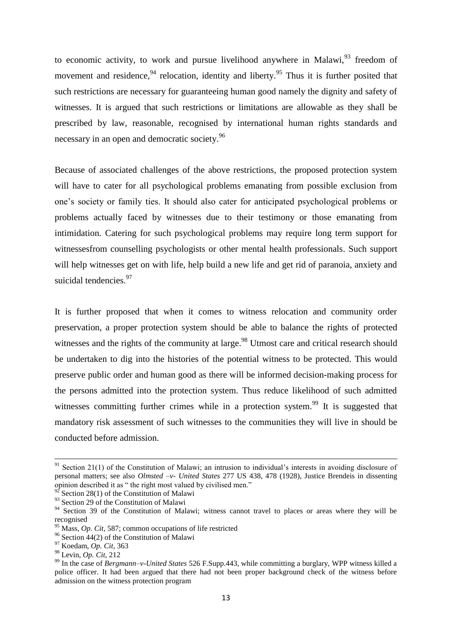to economic activity, to work and pursue livelihood anywhere in Malawi, <sup>93</sup> freedom of movement and residence,  $94$  relocation, identity and liberty. <sup>95</sup> Thus it is further posited that such restrictions are necessary for guaranteeing human good namely the dignity and safety of witnesses. It is argued that such restrictions or limitations are allowable as they shall be prescribed by law, reasonable, recognised by international human rights standards and necessary in an open and democratic society.<sup>96</sup>

Because of associated challenges of the above restrictions, the proposed protection system will have to cater for all psychological problems emanating from possible exclusion from one"s society or family ties. It should also cater for anticipated psychological problems or problems actually faced by witnesses due to their testimony or those emanating from intimidation. Catering for such psychological problems may require long term support for witnessesfrom counselling psychologists or other mental health professionals. Such support will help witnesses get on with life, help build a new life and get rid of paranoia, anxiety and suicidal tendencies.<sup>97</sup>

It is further proposed that when it comes to witness relocation and community order preservation, a proper protection system should be able to balance the rights of protected witnesses and the rights of the community at large.<sup>98</sup> Utmost care and critical research should be undertaken to dig into the histories of the potential witness to be protected. This would preserve public order and human good as there will be informed decision-making process for the persons admitted into the protection system. Thus reduce likelihood of such admitted witnesses committing further crimes while in a protection system.<sup>99</sup> It is suggested that mandatory risk assessment of such witnesses to the communities they will live in should be conducted before admission.

 $91$  Section 21(1) of the Constitution of Malawi; an intrusion to individual's interests in avoiding disclosure of personal matters; see also *Olmsted –v- United States* 277 US 438, 478 (1928), Justice Brendeis in dissenting opinion described it as " the right most valued by civilised men."

 $92$  Section 28(1) of the Constitution of Malawi

<sup>&</sup>lt;sup>93</sup> Section 29 of the Constitution of Malawi

<sup>&</sup>lt;sup>94</sup> Section 39 of the Constitution of Malawi; witness cannot travel to places or areas where they will be recognised

<sup>&</sup>lt;sup>95</sup> Mass, *Op. Cit*, 587; common occupations of life restricted

<sup>96</sup> Section 44(2) of the Constitution of Malawi

<sup>97</sup> Koedam, *Op. Cit*, 363

<sup>98</sup> Levin, *Op. Cit*, 212

<sup>99</sup> In the case of *Bergmann–v-United States* 526 F.Supp.443, while committing a burglary, WPP witness killed a police officer. It had been argued that there had not been proper background check of the witness before admission on the witness protection program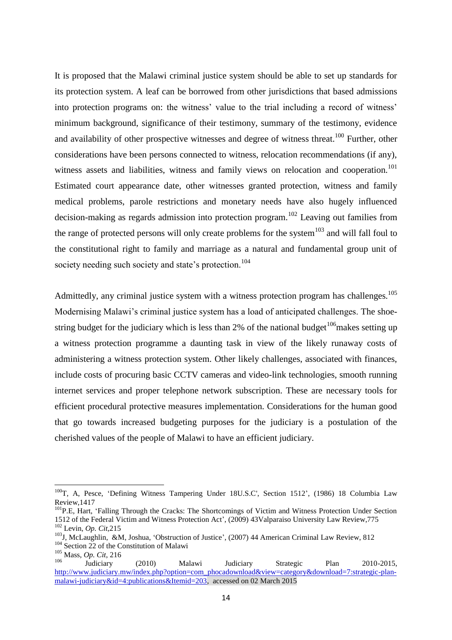It is proposed that the Malawi criminal justice system should be able to set up standards for its protection system. A leaf can be borrowed from other jurisdictions that based admissions into protection programs on: the witness' value to the trial including a record of witness' minimum background, significance of their testimony, summary of the testimony, evidence and availability of other prospective witnesses and degree of witness threat.<sup>100</sup> Further, other considerations have been persons connected to witness, relocation recommendations (if any), witness assets and liabilities, witness and family views on relocation and cooperation.<sup>101</sup> Estimated court appearance date, other witnesses granted protection, witness and family medical problems, parole restrictions and monetary needs have also hugely influenced decision-making as regards admission into protection program.<sup>102</sup> Leaving out families from the range of protected persons will only create problems for the system<sup>103</sup> and will fall foul to the constitutional right to family and marriage as a natural and fundamental group unit of society needing such society and state's protection.<sup>104</sup>

Admittedly, any criminal justice system with a witness protection program has challenges.<sup>105</sup> Modernising Malawi"s criminal justice system has a load of anticipated challenges. The shoestring budget for the judiciary which is less than 2% of the national budget<sup>106</sup> makes setting up a witness protection programme a daunting task in view of the likely runaway costs of administering a witness protection system. Other likely challenges, associated with finances, include costs of procuring basic CCTV cameras and video-link technologies, smooth running internet services and proper telephone network subscription. These are necessary tools for efficient procedural protective measures implementation. Considerations for the human good that go towards increased budgeting purposes for the judiciary is a postulation of the cherished values of the people of Malawi to have an efficient judiciary.

<sup>&</sup>lt;sup>100</sup>T, A, Pesce, 'Defining Witness Tampering Under 18U.S.C', Section 1512', (1986) 18 Columbia Law Review,1417

<sup>&</sup>lt;sup>101</sup>P.E, Hart, 'Falling Through the Cracks: The Shortcomings of Victim and Witness Protection Under Section 1512 of the Federal Victim and Witness Protection Act', (2009) 43Valparaiso University Law Review,775

<sup>102</sup> Levin, *Op. Cit*,215

<sup>&</sup>lt;sup>103</sup>J, McLaughlin, &M, Joshua, 'Obstruction of Justice', (2007) 44 American Criminal Law Review, 812

 $104$  Section 22 of the Constitution of Malawi

<sup>105</sup> Mass, *Op. Cit*, 216

<sup>106</sup> Judiciary (2010) Malawi Judiciary Strategic Plan 2010-2015, [http://www.judiciary.mw/index.php?option=com\\_phocadownload&view=category&download=7:strategic-plan](http://www.judiciary.mw/index.php?option=com_phocadownload&view=category&download=7:strategic-plan-malawi-judiciary&id=4:publications&Itemid=203)[malawi-judiciary&id=4:publications&Itemid=203,](http://www.judiciary.mw/index.php?option=com_phocadownload&view=category&download=7:strategic-plan-malawi-judiciary&id=4:publications&Itemid=203) accessed on 02 March 2015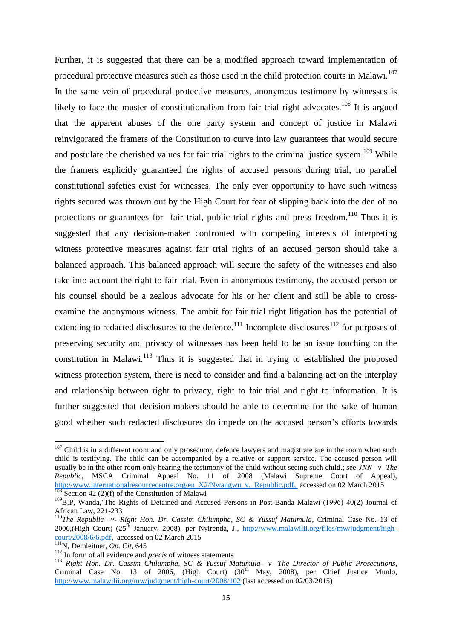Further, it is suggested that there can be a modified approach toward implementation of procedural protective measures such as those used in the child protection courts in Malawi.<sup>107</sup> In the same vein of procedural protective measures, anonymous testimony by witnesses is likely to face the muster of constitutionalism from fair trial right advocates.<sup>108</sup> It is argued that the apparent abuses of the one party system and concept of justice in Malawi reinvigorated the framers of the Constitution to curve into law guarantees that would secure and postulate the cherished values for fair trial rights to the criminal justice system.<sup>109</sup> While the framers explicitly guaranteed the rights of accused persons during trial, no parallel constitutional safeties exist for witnesses. The only ever opportunity to have such witness rights secured was thrown out by the High Court for fear of slipping back into the den of no protections or guarantees for fair trial, public trial rights and press freedom.<sup>110</sup> Thus it is suggested that any decision-maker confronted with competing interests of interpreting witness protective measures against fair trial rights of an accused person should take a balanced approach. This balanced approach will secure the safety of the witnesses and also take into account the right to fair trial. Even in anonymous testimony, the accused person or his counsel should be a zealous advocate for his or her client and still be able to crossexamine the anonymous witness. The ambit for fair trial right litigation has the potential of extending to redacted disclosures to the defence.<sup>111</sup> Incomplete disclosures<sup>112</sup> for purposes of preserving security and privacy of witnesses has been held to be an issue touching on the constitution in Malawi.<sup>113</sup> Thus it is suggested that in trying to established the proposed witness protection system, there is need to consider and find a balancing act on the interplay and relationship between right to privacy, right to fair trial and right to information. It is further suggested that decision-makers should be able to determine for the sake of human good whether such redacted disclosures do impede on the accused person"s efforts towards

 $107$  Child is in a different room and only prosecutor, defence lawyers and magistrate are in the room when such child is testifying. The child can be accompanied by a relative or support service. The accused person will usually be in the other room only hearing the testimony of the child without seeing such child.; see *JNN –v- The Republic*, MSCA Criminal Appeal No. 11 of 2008 (Malawi Supreme Court of Appeal), [http://www.internationalresourcecentre.org/en\\_X2/Nwangwu\\_v.\\_Republic.pdf,](http://www.internationalresourcecentre.org/en_X2/Nwangwu_v._Republic.pdf) accessed on 02 March 2015 Section 42 (2)(f) of the Constitution of Malawi

<sup>&</sup>lt;sup>109</sup>B,P, Wanda, The Rights of Detained and Accused Persons in Post-Banda Malawi'(1996) 40(2) Journal of African Law, 221-233

<sup>110</sup>*The Republic –v- Right Hon. Dr. Cassim Chilumpha, SC & Yussuf Matumula*, Criminal Case No. 13 of 2006, (High Court) (25<sup>th</sup> January, 2008), per Nyirenda, J., [http://www.malawilii.org/files/mw/judgment/high](http://www.malawilii.org/files/mw/judgment/high-court/2008/6/6.pdf)[court/2008/6/6.pdf,](http://www.malawilii.org/files/mw/judgment/high-court/2008/6/6.pdf) accessed on 02 March 2015

<sup>111</sup>N, Demleitner, *Op. Cit*, 645

<sup>&</sup>lt;sup>112</sup> In form of all evidence and *precis* of witness statements

<sup>113</sup> *Right Hon. Dr. Cassim Chilumpha, SC & Yussuf Matumula –v- The Director of Public Prosecutions*, Criminal Case No. 13 of 2006, (High Court) (30th May, 2008), per Chief Justice Munlo, <http://www.malawilii.org/mw/judgment/high-court/2008/102> (last accessed on 02/03/2015)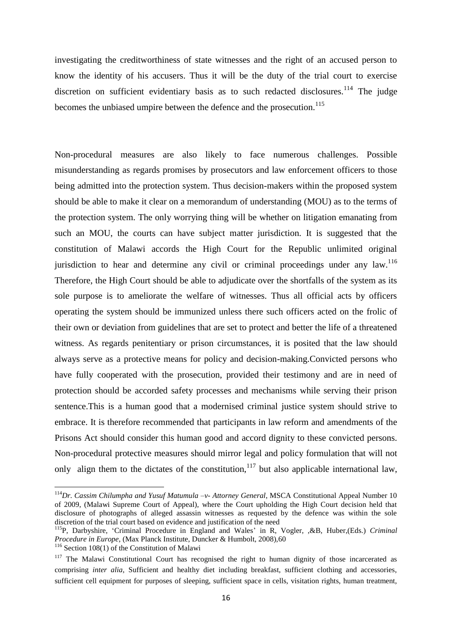investigating the creditworthiness of state witnesses and the right of an accused person to know the identity of his accusers. Thus it will be the duty of the trial court to exercise discretion on sufficient evidentiary basis as to such redacted disclosures.<sup>114</sup> The judge becomes the unbiased umpire between the defence and the prosecution.<sup>115</sup>

Non-procedural measures are also likely to face numerous challenges. Possible misunderstanding as regards promises by prosecutors and law enforcement officers to those being admitted into the protection system. Thus decision-makers within the proposed system should be able to make it clear on a memorandum of understanding (MOU) as to the terms of the protection system. The only worrying thing will be whether on litigation emanating from such an MOU, the courts can have subject matter jurisdiction. It is suggested that the constitution of Malawi accords the High Court for the Republic unlimited original jurisdiction to hear and determine any civil or criminal proceedings under any law.<sup>116</sup> Therefore, the High Court should be able to adjudicate over the shortfalls of the system as its sole purpose is to ameliorate the welfare of witnesses. Thus all official acts by officers operating the system should be immunized unless there such officers acted on the frolic of their own or deviation from guidelines that are set to protect and better the life of a threatened witness. As regards penitentiary or prison circumstances, it is posited that the law should always serve as a protective means for policy and decision-making.Convicted persons who have fully cooperated with the prosecution, provided their testimony and are in need of protection should be accorded safety processes and mechanisms while serving their prison sentence.This is a human good that a modernised criminal justice system should strive to embrace. It is therefore recommended that participants in law reform and amendments of the Prisons Act should consider this human good and accord dignity to these convicted persons. Non-procedural protective measures should mirror legal and policy formulation that will not only align them to the dictates of the constitution, $117$  but also applicable international law,

<sup>114</sup>*Dr. Cassim Chilumpha and Yusuf Matumula –v- Attorney General*, MSCA Constitutional Appeal Number 10 of 2009, (Malawi Supreme Court of Appeal), where the Court upholding the High Court decision held that disclosure of photographs of alleged assassin witnesses as requested by the defence was within the sole discretion of the trial court based on evidence and justification of the need

<sup>115</sup>P, Darbyshire, "Criminal Procedure in England and Wales" in R, Vogler, ,&B, Huber,(Eds.) *Criminal Procedure in Europe*, (Max Planck Institute, Duncker & Humbolt, 2008),60

<sup>&</sup>lt;sup>116</sup> Section 108(1) of the Constitution of Malawi

<sup>&</sup>lt;sup>117</sup> The Malawi Constitutional Court has recognised the right to human dignity of those incarcerated as comprising *inter alia*, Sufficient and healthy diet including breakfast, sufficient clothing and accessories, sufficient cell equipment for purposes of sleeping, sufficient space in cells, visitation rights, human treatment,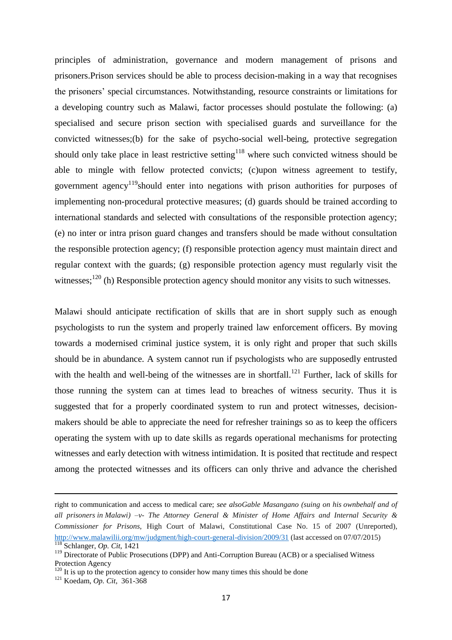principles of administration, governance and modern management of prisons and prisoners.Prison services should be able to process decision-making in a way that recognises the prisoners" special circumstances. Notwithstanding, resource constraints or limitations for a developing country such as Malawi, factor processes should postulate the following: (a) specialised and secure prison section with specialised guards and surveillance for the convicted witnesses;(b) for the sake of psycho-social well-being, protective segregation should only take place in least restrictive setting<sup>118</sup> where such convicted witness should be able to mingle with fellow protected convicts; (c)upon witness agreement to testify, government agency<sup>119</sup>should enter into negations with prison authorities for purposes of implementing non-procedural protective measures; (d) guards should be trained according to international standards and selected with consultations of the responsible protection agency; (e) no inter or intra prison guard changes and transfers should be made without consultation the responsible protection agency; (f) responsible protection agency must maintain direct and regular context with the guards; (g) responsible protection agency must regularly visit the witnesses;<sup>120</sup> (h) Responsible protection agency should monitor any visits to such witnesses.

Malawi should anticipate rectification of skills that are in short supply such as enough psychologists to run the system and properly trained law enforcement officers. By moving towards a modernised criminal justice system, it is only right and proper that such skills should be in abundance. A system cannot run if psychologists who are supposedly entrusted with the health and well-being of the witnesses are in shortfall.<sup>121</sup> Further, lack of skills for those running the system can at times lead to breaches of witness security. Thus it is suggested that for a properly coordinated system to run and protect witnesses, decisionmakers should be able to appreciate the need for refresher trainings so as to keep the officers operating the system with up to date skills as regards operational mechanisms for protecting witnesses and early detection with witness intimidation. It is posited that rectitude and respect among the protected witnesses and its officers can only thrive and advance the cherished

right to communication and access to medical care; *see alsoGable Masangano (suing on his ownbehalf and of all prisoners in Malawi) –v- The Attorney General & Minister of Home Affairs and Internal Security & Commissioner for Prisons*, High Court of Malawi, Constitutional Case No. 15 of 2007 (Unreported), <http://www.malawilii.org/mw/judgment/high-court-general-division/2009/31> (last accessed on 07/07/2015) <sup>118</sup> Schlanger, *Op. Cit*, 1421

<sup>&</sup>lt;sup>119</sup> Directorate of Public Prosecutions (DPP) and Anti-Corruption Bureau (ACB) or a specialised Witness Protection Agency

 $120$  It is up to the protection agency to consider how many times this should be done

<sup>121</sup> Koedam, *Op. Cit*, 361-368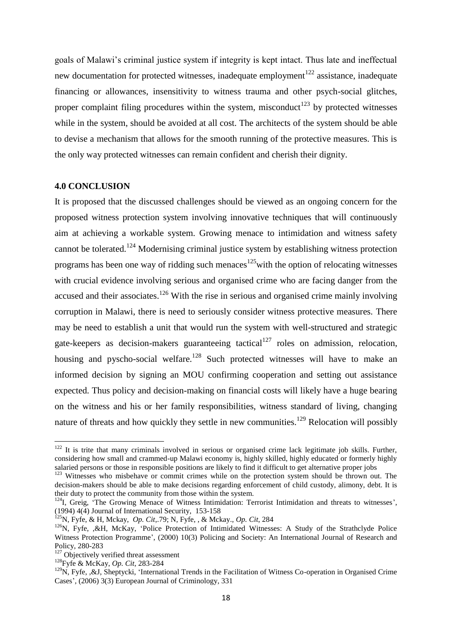goals of Malawi"s criminal justice system if integrity is kept intact. Thus late and ineffectual new documentation for protected witnesses, inadequate employment<sup>122</sup> assistance, inadequate financing or allowances, insensitivity to witness trauma and other psych-social glitches, proper complaint filing procedures within the system, misconduct<sup>123</sup> by protected witnesses while in the system, should be avoided at all cost. The architects of the system should be able to devise a mechanism that allows for the smooth running of the protective measures. This is the only way protected witnesses can remain confident and cherish their dignity.

#### **4.0 CONCLUSION**

It is proposed that the discussed challenges should be viewed as an ongoing concern for the proposed witness protection system involving innovative techniques that will continuously aim at achieving a workable system. Growing menace to intimidation and witness safety cannot be tolerated.<sup>124</sup> Modernising criminal justice system by establishing witness protection programs has been one way of ridding such menaces<sup>125</sup>with the option of relocating witnesses with crucial evidence involving serious and organised crime who are facing danger from the accused and their associates.<sup>126</sup> With the rise in serious and organised crime mainly involving corruption in Malawi, there is need to seriously consider witness protective measures. There may be need to establish a unit that would run the system with well-structured and strategic gate-keepers as decision-makers guaranteeing tactical<sup>127</sup> roles on admission, relocation, housing and pyscho-social welfare.<sup>128</sup> Such protected witnesses will have to make an informed decision by signing an MOU confirming cooperation and setting out assistance expected. Thus policy and decision-making on financial costs will likely have a huge bearing on the witness and his or her family responsibilities, witness standard of living, changing nature of threats and how quickly they settle in new communities.<sup>129</sup> Relocation will possibly

 $122$  It is trite that many criminals involved in serious or organised crime lack legitimate job skills. Further, considering how small and crammed-up Malawi economy is, highly skilled, highly educated or formerly highly salaried persons or those in responsible positions are likely to find it difficult to get alternative proper jobs

<sup>&</sup>lt;sup>123</sup> Witnesses who misbehave or commit crimes while on the protection system should be thrown out. The decision-makers should be able to make decisions regarding enforcement of child custody, alimony, debt. It is their duty to protect the community from those within the system.

<sup>&</sup>lt;sup>124</sup>I, Greig, 'The Growing Menace of Witness Intimidation: Terrorist Intimidation and threats to witnesses', (1994) 4(4) Journal of International Security, 153-158

<sup>125</sup>N, Fyfe, & H, Mckay, *Op. Cit*,.79; N, Fyfe, , & Mckay., *Op. Cit*, 284

<sup>&</sup>lt;sup>126</sup>N, Fyfe, ,&H, McKay, 'Police Protection of Intimidated Witnesses: A Study of the Strathclyde Police Witness Protection Programme', (2000) 10(3) Policing and Society: An International Journal of Research and Policy, 280-283

 $127$  Objectively verified threat assessment

<sup>128</sup>Fyfe & McKay, *Op. Cit*, 283-284

<sup>&</sup>lt;sup>129</sup>N, Fyfe, ,&J, Sheptycki, 'International Trends in the Facilitation of Witness Co-operation in Organised Crime Cases", (2006) 3(3) European Journal of Criminology, 331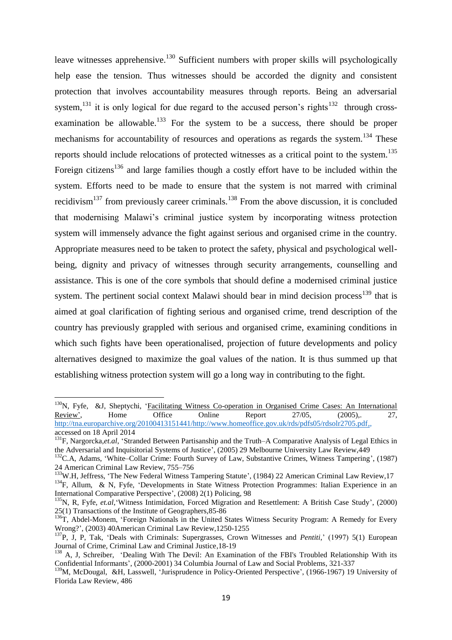leave witnesses apprehensive.<sup>130</sup> Sufficient numbers with proper skills will psychologically help ease the tension. Thus witnesses should be accorded the dignity and consistent protection that involves accountability measures through reports. Being an adversarial system,  $^{131}$  it is only logical for due regard to the accused person's rights  $^{132}$  through crossexamination be allowable.<sup>133</sup> For the system to be a success, there should be proper mechanisms for accountability of resources and operations as regards the system.<sup>134</sup> These reports should include relocations of protected witnesses as a critical point to the system.<sup>135</sup> Foreign citizens<sup>136</sup> and large families though a costly effort have to be included within the system. Efforts need to be made to ensure that the system is not marred with criminal recidivism<sup>137</sup> from previously career criminals.<sup>138</sup> From the above discussion, it is concluded that modernising Malawi"s criminal justice system by incorporating witness protection system will immensely advance the fight against serious and organised crime in the country. Appropriate measures need to be taken to protect the safety, physical and psychological wellbeing, dignity and privacy of witnesses through security arrangements, counselling and assistance. This is one of the core symbols that should define a modernised criminal justice system. The pertinent social context Malawi should bear in mind decision process<sup>139</sup> that is aimed at goal clarification of fighting serious and organised crime, trend description of the country has previously grappled with serious and organised crime, examining conditions in which such fights have been operationalised, projection of future developments and policy alternatives designed to maximize the goal values of the nation. It is thus summed up that establishing witness protection system will go a long way in contributing to the fight.

<sup>&</sup>lt;sup>130</sup>N, Fyfe, &J, Sheptychi, 'Facilitating Witness Co-operation in Organised Crime Cases: An International  $Review'$ , Home Office Online Report  $27/05$ ,  $(2005)$ ,  $27$ , [http://tna.europarchive.org/20100413151441/http://www.homeoffice.gov.uk/rds/pdfs05/rdsolr2705.pdf,](http://tna.europarchive.org/20100413151441/http:/www.homeoffice.gov.uk/rds/pdfs05/rdsolr2705.pdf),

accessed on 18 April 2014

<sup>131</sup>F, Nargorcka,*et.al*, "Stranded Between Partisanship and the Truth–A Comparative Analysis of Legal Ethics in the Adversarial and Inquisitorial Systems of Justice", (2005) 29 Melbourne University Law Review,449

<sup>&</sup>lt;sup>132</sup>C.A, Adams, 'White-Collar Crime: Fourth Survey of Law, Substantive Crimes, Witness Tampering', (1987) 24 American Criminal Law Review, 755–756

<sup>&</sup>lt;sup>133</sup>W.H, Jeffress, 'The New Federal Witness Tampering Statute', (1984) 22 American Criminal Law Review, 17 <sup>134</sup>F, Allum, & N, Fyfe, 'Developments in State Witness Protection Programmes: Italian Experience in an International Comparative Perspective', (2008) 2(1) Policing, 98

<sup>&</sup>lt;sup>135</sup>N, R, Fyfe, *et.al*, 'Witness Intimidation, Forced Migration and Resettlement: A British Case Study', (2000) 25(1) Transactions of the Institute of Geographers,85-86

<sup>&</sup>lt;sup>136</sup>T, Abdel-Monem, 'Foreign Nationals in the United States Witness Security Program: A Remedy for Every Wrong?", (2003) 40American Criminal Law Review,1250-1255

<sup>137</sup>P, J, P, Tak, "Deals with Criminals: Supergrasses, Crown Witnesses and *Pentiti*," (1997) 5(1) European Journal of Crime, Criminal Law and Criminal Justice,18-19

<sup>&</sup>lt;sup>138</sup> A. J. Schreiber, 'Dealing With The Devil: An Examination of the FBI's Troubled Relationship With its Confidential Informants", (2000-2001) 34 Columbia Journal of Law and Social Problems, 321-337

<sup>&</sup>lt;sup>139</sup>M, McDougal, &H, Lasswell, 'Jurisprudence in Policy-Oriented Perspective', (1966-1967) 19 University of Florida Law Review, 486